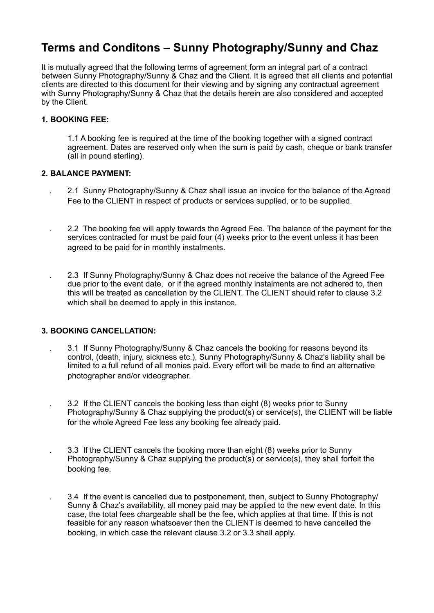# **Terms and Conditons – Sunny Photography/Sunny and Chaz**

It is mutually agreed that the following terms of agreement form an integral part of a contract between Sunny Photography/Sunny & Chaz and the Client. It is agreed that all clients and potential clients are directed to this document for their viewing and by signing any contractual agreement with Sunny Photography/Sunny & Chaz that the details herein are also considered and accepted by the Client.

# **1. BOOKING FEE:**

1.1 A booking fee is required at the time of the booking together with a signed contract agreement. Dates are reserved only when the sum is paid by cash, cheque or bank transfer (all in pound sterling).

# **2. BALANCE PAYMENT:**

- . 2.1 Sunny Photography/Sunny & Chaz shall issue an invoice for the balance of the Agreed Fee to the CLIENT in respect of products or services supplied, or to be supplied.
- . 2.2 The booking fee will apply towards the Agreed Fee. The balance of the payment for the services contracted for must be paid four (4) weeks prior to the event unless it has been agreed to be paid for in monthly instalments.
- . 2.3 If Sunny Photography/Sunny & Chaz does not receive the balance of the Agreed Fee due prior to the event date, or if the agreed monthly instalments are not adhered to, then this will be treated as cancellation by the CLIENT. The CLIENT should refer to clause 3.2 which shall be deemed to apply in this instance.

# **3. BOOKING CANCELLATION:**

- . 3.1 If Sunny Photography/Sunny & Chaz cancels the booking for reasons beyond its control, (death, injury, sickness etc.), Sunny Photography/Sunny & Chaz's liability shall be limited to a full refund of all monies paid. Every effort will be made to find an alternative photographer and/or videographer.
- . 3.2 If the CLIENT cancels the booking less than eight (8) weeks prior to Sunny Photography/Sunny & Chaz supplying the product(s) or service(s), the CLIENT will be liable for the whole Agreed Fee less any booking fee already paid.
- . 3.3 If the CLIENT cancels the booking more than eight (8) weeks prior to Sunny Photography/Sunny & Chaz supplying the product(s) or service(s), they shall forfeit the booking fee.
	- . 3.4 If the event is cancelled due to postponement, then, subject to Sunny Photography/ Sunny & Chaz's availability, all money paid may be applied to the new event date. In this case, the total fees chargeable shall be the fee, which applies at that time. If this is not feasible for any reason whatsoever then the CLIENT is deemed to have cancelled the booking, in which case the relevant clause 3.2 or 3.3 shall apply.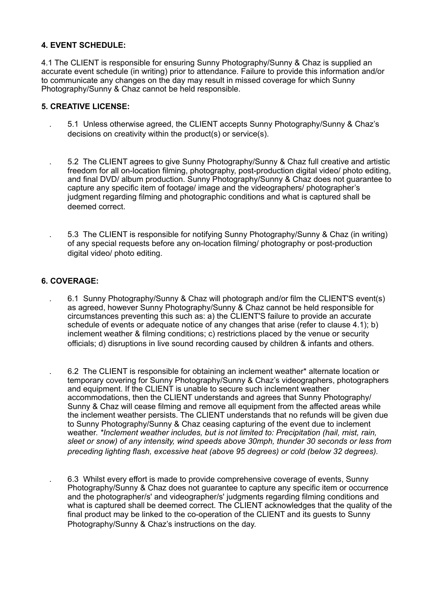# **4. EVENT SCHEDULE:**

4.1 The CLIENT is responsible for ensuring Sunny Photography/Sunny & Chaz is supplied an accurate event schedule (in writing) prior to attendance. Failure to provide this information and/or to communicate any changes on the day may result in missed coverage for which Sunny Photography/Sunny & Chaz cannot be held responsible.

#### **5. CREATIVE LICENSE:**

- . 5.1 Unless otherwise agreed, the CLIENT accepts Sunny Photography/Sunny & Chaz's decisions on creativity within the product(s) or service(s).
	- . 5.2 The CLIENT agrees to give Sunny Photography/Sunny & Chaz full creative and artistic freedom for all on-location filming, photography, post-production digital video/ photo editing, and final DVD/ album production. Sunny Photography/Sunny & Chaz does not guarantee to capture any specific item of footage/ image and the videographers/ photographer's judgment regarding filming and photographic conditions and what is captured shall be deemed correct.
- . 5.3 The CLIENT is responsible for notifying Sunny Photography/Sunny & Chaz (in writing) of any special requests before any on-location filming/ photography or post-production digital video/ photo editing.

# **6. COVERAGE:**

- . 6.1 Sunny Photography/Sunny & Chaz will photograph and/or film the CLIENT'S event(s) as agreed, however Sunny Photography/Sunny & Chaz cannot be held responsible for circumstances preventing this such as: a) the CLIENT'S failure to provide an accurate schedule of events or adequate notice of any changes that arise (refer to clause 4.1); b) inclement weather & filming conditions; c) restrictions placed by the venue or security officials; d) disruptions in live sound recording caused by children & infants and others.
- . 6.2 The CLIENT is responsible for obtaining an inclement weather\* alternate location or temporary covering for Sunny Photography/Sunny & Chaz's videographers, photographers and equipment. If the CLIENT is unable to secure such inclement weather accommodations, then the CLIENT understands and agrees that Sunny Photography/ Sunny & Chaz will cease filming and remove all equipment from the affected areas while the inclement weather persists. The CLIENT understands that no refunds will be given due to Sunny Photography/Sunny & Chaz ceasing capturing of the event due to inclement weather. *\*Inclement weather includes, but is not limited to: Precipitation (hail, mist, rain, sleet or snow) of any intensity, wind speeds above 30mph, thunder 30 seconds or less from preceding lighting flash, excessive heat (above 95 degrees) or cold (below 32 degrees).*

 . 6.3 Whilst every effort is made to provide comprehensive coverage of events, Sunny Photography/Sunny & Chaz does not guarantee to capture any specific item or occurrence and the photographer/s' and videographer/s' judgments regarding filming conditions and what is captured shall be deemed correct. The CLIENT acknowledges that the quality of the final product may be linked to the co-operation of the CLIENT and its guests to Sunny Photography/Sunny & Chaz's instructions on the day.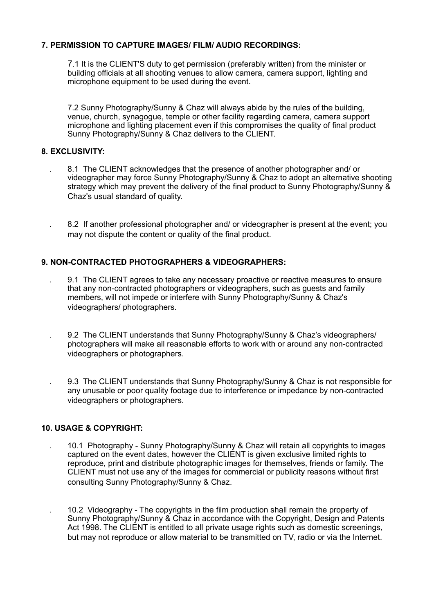# **7. PERMISSION TO CAPTURE IMAGES/ FILM/ AUDIO RECORDINGS:**

 7.1 It is the CLIENT'S duty to get permission (preferably written) from the minister or building officials at all shooting venues to allow camera, camera support, lighting and microphone equipment to be used during the event.

 7.2 Sunny Photography/Sunny & Chaz will always abide by the rules of the building, venue, church, synagogue, temple or other facility regarding camera, camera support microphone and lighting placement even if this compromises the quality of final product Sunny Photography/Sunny & Chaz delivers to the CLIENT.

# **8. EXCLUSIVITY:**

 . 8.1 The CLIENT acknowledges that the presence of another photographer and/ or videographer may force Sunny Photography/Sunny & Chaz to adopt an alternative shooting strategy which may prevent the delivery of the final product to Sunny Photography/Sunny & Chaz's usual standard of quality.

 . 8.2 If another professional photographer and/ or videographer is present at the event; you may not dispute the content or quality of the final product.

# **9. NON-CONTRACTED PHOTOGRAPHERS & VIDEOGRAPHERS:**

- . 9.1 The CLIENT agrees to take any necessary proactive or reactive measures to ensure that any non-contracted photographers or videographers, such as guests and family members, will not impede or interfere with Sunny Photography/Sunny & Chaz's videographers/ photographers.
- . 9.2 The CLIENT understands that Sunny Photography/Sunny & Chaz's videographers/ photographers will make all reasonable efforts to work with or around any non-contracted videographers or photographers.

 . 9.3 The CLIENT understands that Sunny Photography/Sunny & Chaz is not responsible for any unusable or poor quality footage due to interference or impedance by non-contracted videographers or photographers.

### **10. USAGE & COPYRIGHT:**

 . 10.1 Photography - Sunny Photography/Sunny & Chaz will retain all copyrights to images captured on the event dates, however the CLIENT is given exclusive limited rights to reproduce, print and distribute photographic images for themselves, friends or family. The CLIENT must not use any of the images for commercial or publicity reasons without first consulting Sunny Photography/Sunny & Chaz.

 . 10.2 Videography - The copyrights in the film production shall remain the property of Sunny Photography/Sunny & Chaz in accordance with the Copyright, Design and Patents Act 1998. The CLIENT is entitled to all private usage rights such as domestic screenings, but may not reproduce or allow material to be transmitted on TV, radio or via the Internet.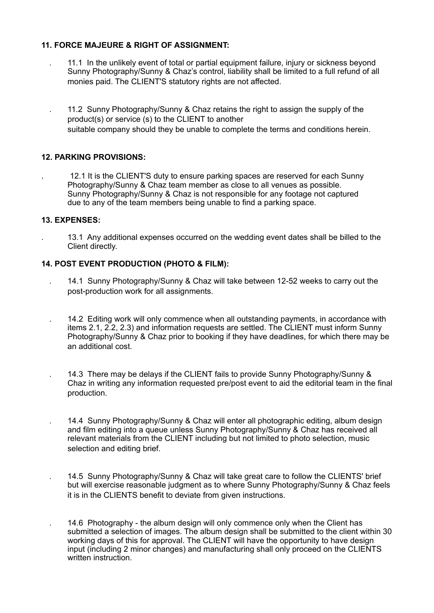# **11. FORCE MAJEURE & RIGHT OF ASSIGNMENT:**

- . 11.1 In the unlikely event of total or partial equipment failure, injury or sickness beyond Sunny Photography/Sunny & Chaz's control, liability shall be limited to a full refund of all monies paid. The CLIENT'S statutory rights are not affected.
- . 11.2 Sunny Photography/Sunny & Chaz retains the right to assign the supply of the product(s) or service (s) to the CLIENT to another suitable company should they be unable to complete the terms and conditions herein.

# **12. PARKING PROVISIONS:**

. 12.1 It is the CLIENT'S duty to ensure parking spaces are reserved for each Sunny Photography/Sunny & Chaz team member as close to all venues as possible. Sunny Photography/Sunny & Chaz is not responsible for any footage not captured due to any of the team members being unable to find a parking space.

# **13. EXPENSES:**

. 13.1 Any additional expenses occurred on the wedding event dates shall be billed to the Client directly.

# **14. POST EVENT PRODUCTION (PHOTO & FILM):**

- . 14.1 Sunny Photography/Sunny & Chaz will take between 12-52 weeks to carry out the post-production work for all assignments.
- . 14.2 Editing work will only commence when all outstanding payments, in accordance with items 2.1, 2.2, 2.3) and information requests are settled. The CLIENT must inform Sunny Photography/Sunny & Chaz prior to booking if they have deadlines, for which there may be an additional cost.
- . 14.3 There may be delays if the CLIENT fails to provide Sunny Photography/Sunny & Chaz in writing any information requested pre/post event to aid the editorial team in the final production.
	- . 14.4 Sunny Photography/Sunny & Chaz will enter all photographic editing, album design and film editing into a queue unless Sunny Photography/Sunny & Chaz has received all relevant materials from the CLIENT including but not limited to photo selection, music selection and editing brief.
	- . 14.5 Sunny Photography/Sunny & Chaz will take great care to follow the CLIENTS' brief but will exercise reasonable judgment as to where Sunny Photography/Sunny & Chaz feels it is in the CLIENTS benefit to deviate from given instructions.
		- . 14.6 Photography the album design will only commence only when the Client has submitted a selection of images. The album design shall be submitted to the client within 30 working days of this for approval. The CLIENT will have the opportunity to have design input (including 2 minor changes) and manufacturing shall only proceed on the CLIENTS written instruction.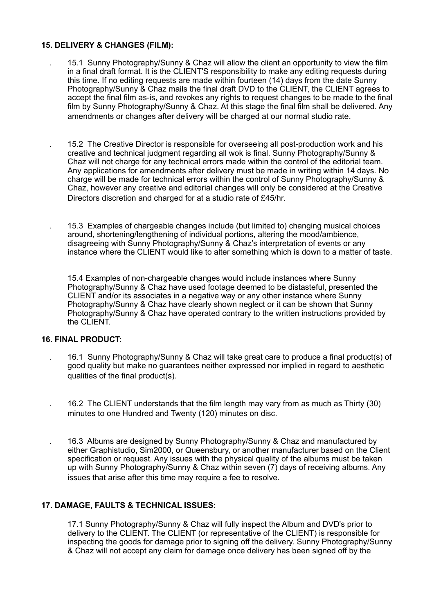### **15. DELIVERY & CHANGES (FILM):**

 . 15.1 Sunny Photography/Sunny & Chaz will allow the client an opportunity to view the film in a final draft format. It is the CLIENT'S responsibility to make any editing requests during this time. If no editing requests are made within fourteen (14) days from the date Sunny Photography/Sunny & Chaz mails the final draft DVD to the CLIENT, the CLIENT agrees to accept the final film as-is, and revokes any rights to request changes to be made to the final film by Sunny Photography/Sunny & Chaz. At this stage the final film shall be delivered. Any amendments or changes after delivery will be charged at our normal studio rate.

 . 15.2 The Creative Director is responsible for overseeing all post-production work and his creative and technical judgment regarding all wok is final. Sunny Photography/Sunny & Chaz will not charge for any technical errors made within the control of the editorial team. Any applications for amendments after delivery must be made in writing within 14 days. No charge will be made for technical errors within the control of Sunny Photography/Sunny & Chaz, however any creative and editorial changes will only be considered at the Creative Directors discretion and charged for at a studio rate of £45/hr.

 . 15.3 Examples of chargeable changes include (but limited to) changing musical choices around, shortening/lengthening of individual portions, altering the mood/ambience, disagreeing with Sunny Photography/Sunny & Chaz's interpretation of events or any instance where the CLIENT would like to alter something which is down to a matter of taste.

15.4 Examples of non-chargeable changes would include instances where Sunny Photography/Sunny & Chaz have used footage deemed to be distasteful, presented the CLIENT and/or its associates in a negative way or any other instance where Sunny Photography/Sunny & Chaz have clearly shown neglect or it can be shown that Sunny Photography/Sunny & Chaz have operated contrary to the written instructions provided by the CLIENT.

#### **16. FINAL PRODUCT:**

- . 16.1 Sunny Photography/Sunny & Chaz will take great care to produce a final product(s) of good quality but make no guarantees neither expressed nor implied in regard to aesthetic qualities of the final product(s).
- . 16.2 The CLIENT understands that the film length may vary from as much as Thirty (30) minutes to one Hundred and Twenty (120) minutes on disc.
- . 16.3 Albums are designed by Sunny Photography/Sunny & Chaz and manufactured by either Graphistudio, Sim2000, or Queensbury, or another manufacturer based on the Client specification or request. Any issues with the physical quality of the albums must be taken up with Sunny Photography/Sunny & Chaz within seven (7) days of receiving albums. Any issues that arise after this time may require a fee to resolve.

# **17. DAMAGE, FAULTS & TECHNICAL ISSUES:**

17.1 Sunny Photography/Sunny & Chaz will fully inspect the Album and DVD's prior to delivery to the CLIENT. The CLIENT (or representative of the CLIENT) is responsible for inspecting the goods for damage prior to signing off the delivery. Sunny Photography/Sunny & Chaz will not accept any claim for damage once delivery has been signed off by the